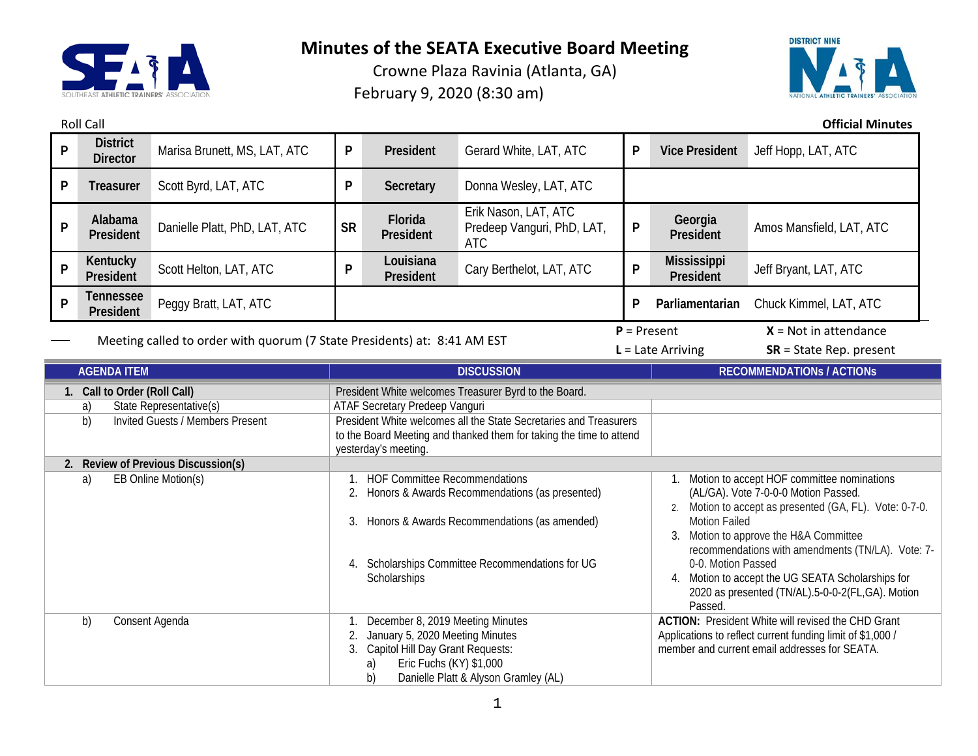

Crowne Plaza Ravinia (Atlanta, GA) February 9, 2020 (8:30 am)



Roll Call **Official Minutes**

| P                                                                                                                                                                           | <b>District</b><br><b>Director</b> | Marisa Brunett, MS, LAT, ATC                                                                                                                                   | P                                                                                                                                                                                                                                                                                                                                                                                                                                                                                                                                            | President              | Gerard White, LAT, ATC                                                                                                                                                                                                                                                                                                 | P | <b>Vice President</b>           | Jeff Hopp, LAT, ATC              |  |
|-----------------------------------------------------------------------------------------------------------------------------------------------------------------------------|------------------------------------|----------------------------------------------------------------------------------------------------------------------------------------------------------------|----------------------------------------------------------------------------------------------------------------------------------------------------------------------------------------------------------------------------------------------------------------------------------------------------------------------------------------------------------------------------------------------------------------------------------------------------------------------------------------------------------------------------------------------|------------------------|------------------------------------------------------------------------------------------------------------------------------------------------------------------------------------------------------------------------------------------------------------------------------------------------------------------------|---|---------------------------------|----------------------------------|--|
| P                                                                                                                                                                           | <b>Treasurer</b>                   | Scott Byrd, LAT, ATC                                                                                                                                           | P                                                                                                                                                                                                                                                                                                                                                                                                                                                                                                                                            | Secretary              | Donna Wesley, LAT, ATC                                                                                                                                                                                                                                                                                                 |   |                                 |                                  |  |
| P                                                                                                                                                                           | Alabama<br>President               | Danielle Platt, PhD, LAT, ATC                                                                                                                                  | <b>SR</b>                                                                                                                                                                                                                                                                                                                                                                                                                                                                                                                                    | Florida<br>President   | Erik Nason, LAT, ATC<br>Predeep Vanguri, PhD, LAT,<br><b>ATC</b>                                                                                                                                                                                                                                                       | P | Georgia<br>President            | Amos Mansfield, LAT, ATC         |  |
| P                                                                                                                                                                           | Kentucky<br>President              | Scott Helton, LAT, ATC                                                                                                                                         | P                                                                                                                                                                                                                                                                                                                                                                                                                                                                                                                                            | Louisiana<br>President | Cary Berthelot, LAT, ATC                                                                                                                                                                                                                                                                                               | P | <b>Mississippi</b><br>President | Jeff Bryant, LAT, ATC            |  |
| P                                                                                                                                                                           | <b>Tennessee</b><br>President      | Peggy Bratt, LAT, ATC                                                                                                                                          |                                                                                                                                                                                                                                                                                                                                                                                                                                                                                                                                              |                        |                                                                                                                                                                                                                                                                                                                        | P | Parliamentarian                 | Chuck Kimmel, LAT, ATC           |  |
| Meeting called to order with quorum (7 State Presidents) at: 8:41 AM EST                                                                                                    |                                    |                                                                                                                                                                | $P = Present$                                                                                                                                                                                                                                                                                                                                                                                                                                                                                                                                |                        | $X = Not in attendance$<br>$L =$ Late Arriving<br>$SR = State Rep. present$                                                                                                                                                                                                                                            |   |                                 |                                  |  |
| <b>AGENDA ITEM</b>                                                                                                                                                          |                                    |                                                                                                                                                                |                                                                                                                                                                                                                                                                                                                                                                                                                                                                                                                                              |                        | <b>DISCUSSION</b>                                                                                                                                                                                                                                                                                                      |   |                                 | <b>RECOMMENDATIONS / ACTIONS</b> |  |
| 1. Call to Order (Roll Call)<br>State Representative(s)<br>a)<br>b)<br>Invited Guests / Members Present<br>2. Review of Previous Discussion(s)<br>EB Online Motion(s)<br>a) |                                    |                                                                                                                                                                | President White welcomes Treasurer Byrd to the Board.<br>ATAF Secretary Predeep Vanguri<br>President White welcomes all the State Secretaries and Treasurers<br>to the Board Meeting and thanked them for taking the time to attend<br>yesterday's meeting.<br><b>HOF Committee Recommendations</b><br>$\overline{1}$ .<br>(AL/GA). Vote 7-0-0-0 Motion Passed.<br>Honors & Awards Recommendations (as presented)<br>2.<br>Honors & Awards Recommendations (as amended)<br><b>Motion Failed</b><br>3.<br>Motion to approve the H&A Committee |                        | Motion to accept HOF committee nominations<br>2. Motion to accept as presented (GA, FL). Vote: 0-7-0.                                                                                                                                                                                                                  |   |                                 |                                  |  |
| Consent Agenda<br>b)                                                                                                                                                        |                                    | 4. Scholarships Committee Recommendations for UG<br>Scholarships<br>December 8, 2019 Meeting Minutes                                                           |                                                                                                                                                                                                                                                                                                                                                                                                                                                                                                                                              |                        | recommendations with amendments (TN/LA). Vote: 7-<br>0-0. Motion Passed<br>4. Motion to accept the UG SEATA Scholarships for<br>2020 as presented (TN/AL).5-0-0-2(FL,GA). Motion<br>Passed.<br><b>ACTION:</b> President White will revised the CHD Grant<br>Applications to reflect current funding limit of \$1,000 / |   |                                 |                                  |  |
|                                                                                                                                                                             |                                    | 2.<br>January 5, 2020 Meeting Minutes<br>Capitol Hill Day Grant Requests:<br>3.<br>Eric Fuchs (KY) \$1,000<br>a)<br>b)<br>Danielle Platt & Alyson Gramley (AL) |                                                                                                                                                                                                                                                                                                                                                                                                                                                                                                                                              |                        | member and current email addresses for SEATA.                                                                                                                                                                                                                                                                          |   |                                 |                                  |  |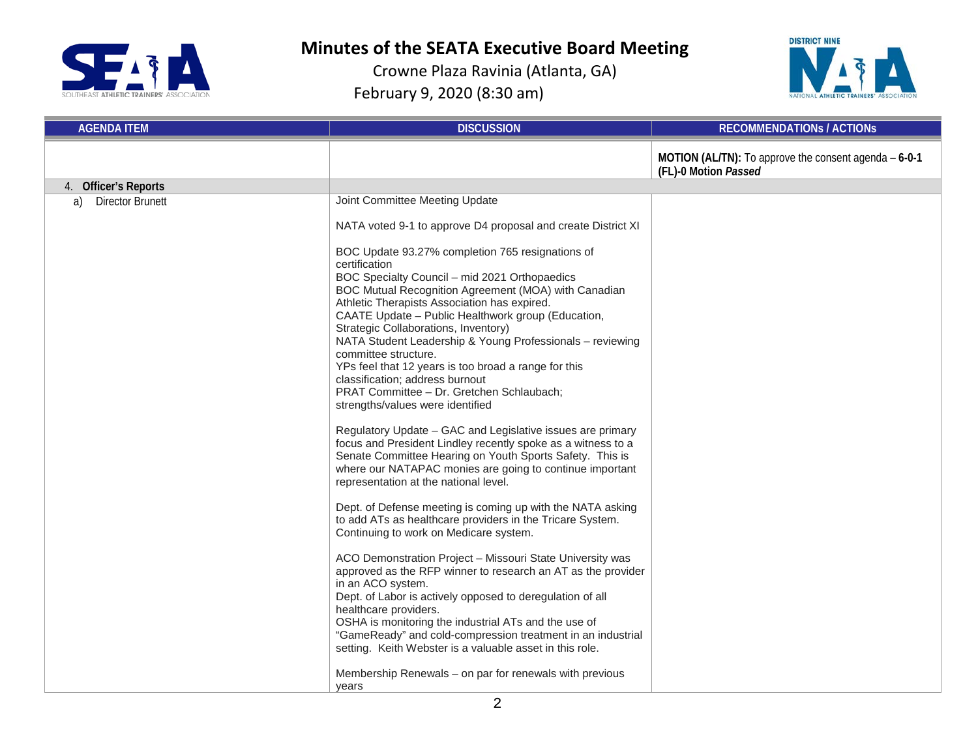



| <b>AGENDA ITEM</b>            | <b>DISCUSSION</b>                                                                                                                                                                                                                                                                                                                                                                                                                                                                                                                                                                         | <b>RECOMMENDATIONS / ACTIONS</b>                                                      |
|-------------------------------|-------------------------------------------------------------------------------------------------------------------------------------------------------------------------------------------------------------------------------------------------------------------------------------------------------------------------------------------------------------------------------------------------------------------------------------------------------------------------------------------------------------------------------------------------------------------------------------------|---------------------------------------------------------------------------------------|
|                               |                                                                                                                                                                                                                                                                                                                                                                                                                                                                                                                                                                                           | <b>MOTION (AL/TN):</b> To approve the consent agenda $-6-0-1$<br>(FL)-0 Motion Passed |
| 4. Officer's Reports          |                                                                                                                                                                                                                                                                                                                                                                                                                                                                                                                                                                                           |                                                                                       |
| <b>Director Brunett</b><br>a) | Joint Committee Meeting Update                                                                                                                                                                                                                                                                                                                                                                                                                                                                                                                                                            |                                                                                       |
|                               | NATA voted 9-1 to approve D4 proposal and create District XI                                                                                                                                                                                                                                                                                                                                                                                                                                                                                                                              |                                                                                       |
|                               | BOC Update 93.27% completion 765 resignations of<br>certification<br>BOC Specialty Council - mid 2021 Orthopaedics<br>BOC Mutual Recognition Agreement (MOA) with Canadian<br>Athletic Therapists Association has expired.<br>CAATE Update - Public Healthwork group (Education,<br>Strategic Collaborations, Inventory)<br>NATA Student Leadership & Young Professionals - reviewing<br>committee structure.<br>YPs feel that 12 years is too broad a range for this<br>classification; address burnout<br>PRAT Committee - Dr. Gretchen Schlaubach;<br>strengths/values were identified |                                                                                       |
|                               | Regulatory Update - GAC and Legislative issues are primary<br>focus and President Lindley recently spoke as a witness to a<br>Senate Committee Hearing on Youth Sports Safety. This is<br>where our NATAPAC monies are going to continue important<br>representation at the national level.                                                                                                                                                                                                                                                                                               |                                                                                       |
|                               | Dept. of Defense meeting is coming up with the NATA asking<br>to add ATs as healthcare providers in the Tricare System.<br>Continuing to work on Medicare system.                                                                                                                                                                                                                                                                                                                                                                                                                         |                                                                                       |
|                               | ACO Demonstration Project - Missouri State University was<br>approved as the RFP winner to research an AT as the provider<br>in an ACO system.<br>Dept. of Labor is actively opposed to deregulation of all<br>healthcare providers.<br>OSHA is monitoring the industrial ATs and the use of<br>"GameReady" and cold-compression treatment in an industrial<br>setting. Keith Webster is a valuable asset in this role.                                                                                                                                                                   |                                                                                       |
|                               | Membership Renewals – on par for renewals with previous<br>vears                                                                                                                                                                                                                                                                                                                                                                                                                                                                                                                          |                                                                                       |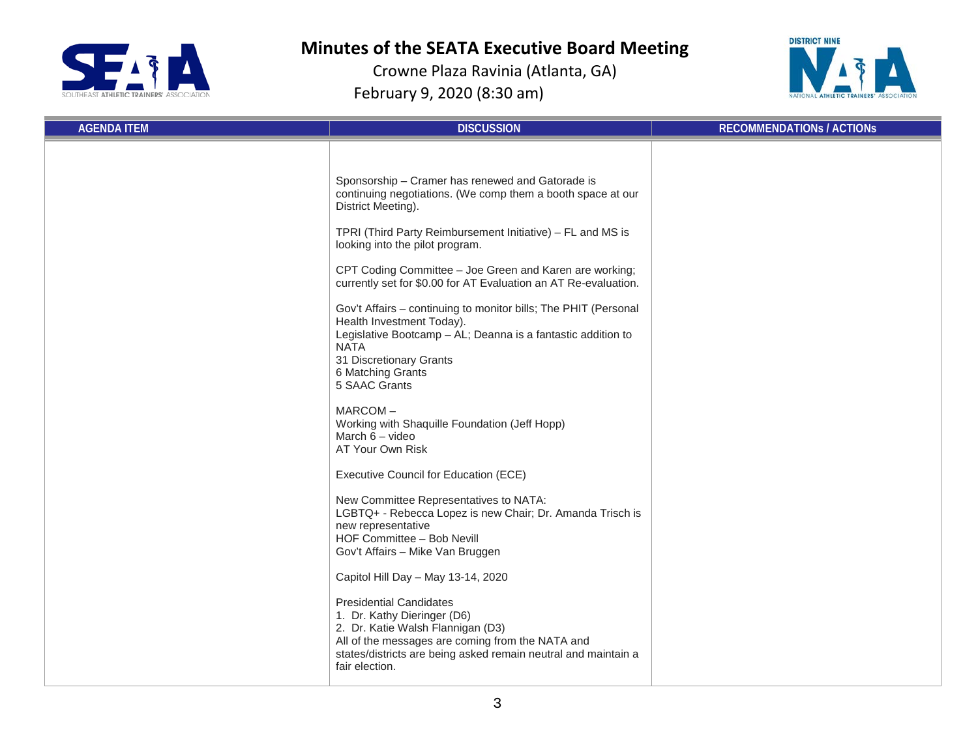



| <b>AGENDA ITEM</b> | <b>DISCUSSION</b>                                                                                                                                                                                                                                                                                                                                                                                                                                                                                                                                   | <b>RECOMMENDATIONS / ACTIONS</b> |
|--------------------|-----------------------------------------------------------------------------------------------------------------------------------------------------------------------------------------------------------------------------------------------------------------------------------------------------------------------------------------------------------------------------------------------------------------------------------------------------------------------------------------------------------------------------------------------------|----------------------------------|
|                    | Sponsorship - Cramer has renewed and Gatorade is<br>continuing negotiations. (We comp them a booth space at our<br>District Meeting).<br>TPRI (Third Party Reimbursement Initiative) - FL and MS is<br>looking into the pilot program.<br>CPT Coding Committee - Joe Green and Karen are working;<br>currently set for \$0.00 for AT Evaluation an AT Re-evaluation.<br>Gov't Affairs - continuing to monitor bills; The PHIT (Personal<br>Health Investment Today).<br>Legislative Bootcamp - AL; Deanna is a fantastic addition to<br><b>NATA</b> |                                  |
|                    | 31 Discretionary Grants<br>6 Matching Grants<br>5 SAAC Grants<br>MARCOM-<br>Working with Shaquille Foundation (Jeff Hopp)<br>March $6 -$ video<br>AT Your Own Risk                                                                                                                                                                                                                                                                                                                                                                                  |                                  |
|                    | Executive Council for Education (ECE)<br>New Committee Representatives to NATA:<br>LGBTQ+ - Rebecca Lopez is new Chair; Dr. Amanda Trisch is<br>new representative<br>HOF Committee - Bob Nevill<br>Gov't Affairs - Mike Van Bruggen                                                                                                                                                                                                                                                                                                                |                                  |
|                    | Capitol Hill Day - May 13-14, 2020<br><b>Presidential Candidates</b><br>1. Dr. Kathy Dieringer (D6)<br>2. Dr. Katie Walsh Flannigan (D3)<br>All of the messages are coming from the NATA and<br>states/districts are being asked remain neutral and maintain a<br>fair election.                                                                                                                                                                                                                                                                    |                                  |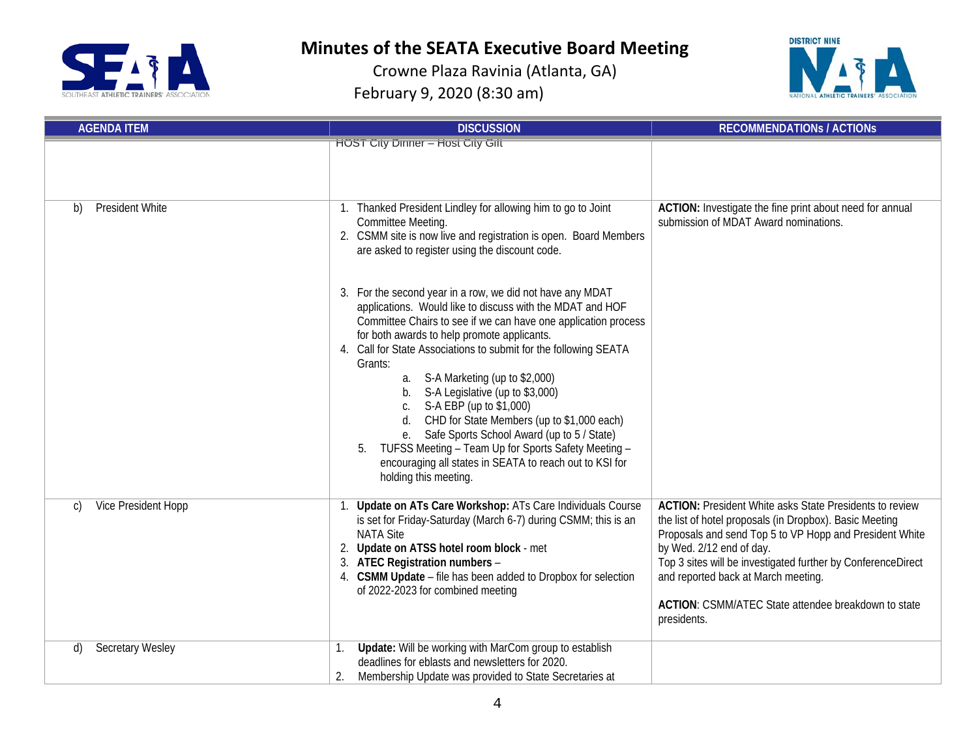



| <b>AGENDA ITEM</b>            | <b>DISCUSSION</b>                                                                                                                                                                                                                                                                                                                                                                                                                                                                                                                                                                                               | <b>RECOMMENDATIONS / ACTIONS</b>                                                                                                                                                                                                                                                                                                                                                              |  |
|-------------------------------|-----------------------------------------------------------------------------------------------------------------------------------------------------------------------------------------------------------------------------------------------------------------------------------------------------------------------------------------------------------------------------------------------------------------------------------------------------------------------------------------------------------------------------------------------------------------------------------------------------------------|-----------------------------------------------------------------------------------------------------------------------------------------------------------------------------------------------------------------------------------------------------------------------------------------------------------------------------------------------------------------------------------------------|--|
|                               | <b>HOST City Dinner - Host City Gift</b>                                                                                                                                                                                                                                                                                                                                                                                                                                                                                                                                                                        |                                                                                                                                                                                                                                                                                                                                                                                               |  |
| <b>President White</b><br>b)  | 1. Thanked President Lindley for allowing him to go to Joint<br>Committee Meeting.<br>2. CSMM site is now live and registration is open. Board Members<br>are asked to register using the discount code.<br>3. For the second year in a row, we did not have any MDAT<br>applications. Would like to discuss with the MDAT and HOF<br>Committee Chairs to see if we can have one application process<br>for both awards to help promote applicants.<br>4. Call for State Associations to submit for the following SEATA<br>Grants:<br>a. S-A Marketing (up to \$2,000)<br>S-A Legislative (up to \$3,000)<br>b. | ACTION: Investigate the fine print about need for annual<br>submission of MDAT Award nominations.                                                                                                                                                                                                                                                                                             |  |
|                               | S-A EBP (up to \$1,000)<br>C.<br>CHD for State Members (up to \$1,000 each)<br>d.<br>Safe Sports School Award (up to 5 / State)<br>е.<br>TUFSS Meeting - Team Up for Sports Safety Meeting -<br>encouraging all states in SEATA to reach out to KSI for<br>holding this meeting.                                                                                                                                                                                                                                                                                                                                |                                                                                                                                                                                                                                                                                                                                                                                               |  |
| Vice President Hopp<br>C)     | 1. Update on ATs Care Workshop: ATs Care Individuals Course<br>is set for Friday-Saturday (March 6-7) during CSMM; this is an<br><b>NATA Site</b><br>2. Update on ATSS hotel room block - met<br>3. ATEC Registration numbers -<br>4. CSMM Update - file has been added to Dropbox for selection<br>of 2022-2023 for combined meeting                                                                                                                                                                                                                                                                           | <b>ACTION:</b> President White asks State Presidents to review<br>the list of hotel proposals (in Dropbox). Basic Meeting<br>Proposals and send Top 5 to VP Hopp and President White<br>by Wed. 2/12 end of day.<br>Top 3 sites will be investigated further by ConferenceDirect<br>and reported back at March meeting.<br>ACTION: CSMM/ATEC State attendee breakdown to state<br>presidents. |  |
| <b>Secretary Wesley</b><br>d) | Update: Will be working with MarCom group to establish<br>1.<br>deadlines for eblasts and newsletters for 2020.<br>Membership Update was provided to State Secretaries at<br>2.                                                                                                                                                                                                                                                                                                                                                                                                                                 |                                                                                                                                                                                                                                                                                                                                                                                               |  |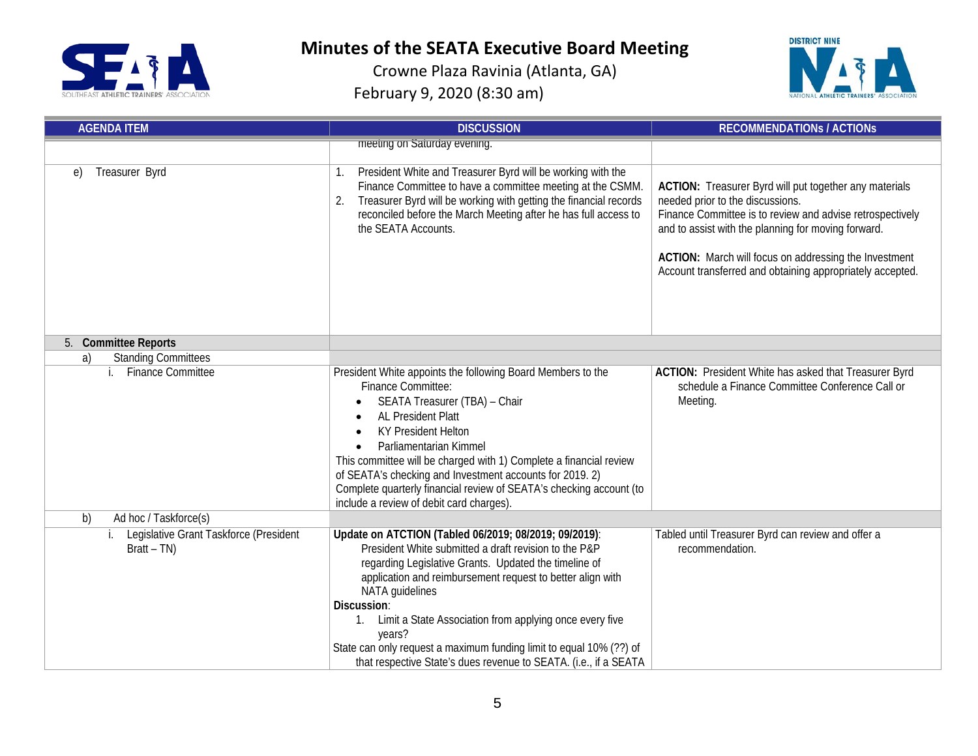



| <b>AGENDA ITEM</b>                                         | <b>DISCUSSION</b>                                                                                                                                                                                                                                                                                                                                                                                                                                                                          | <b>RECOMMENDATIONS / ACTIONS</b>                                                                                                                                                                                                                                                                                                     |  |
|------------------------------------------------------------|--------------------------------------------------------------------------------------------------------------------------------------------------------------------------------------------------------------------------------------------------------------------------------------------------------------------------------------------------------------------------------------------------------------------------------------------------------------------------------------------|--------------------------------------------------------------------------------------------------------------------------------------------------------------------------------------------------------------------------------------------------------------------------------------------------------------------------------------|--|
|                                                            | meeting on Saturday evening.                                                                                                                                                                                                                                                                                                                                                                                                                                                               |                                                                                                                                                                                                                                                                                                                                      |  |
| Treasurer Byrd<br>$\epsilon$                               | President White and Treasurer Byrd will be working with the<br>Finance Committee to have a committee meeting at the CSMM.<br>Treasurer Byrd will be working with getting the financial records<br>2.<br>reconciled before the March Meeting after he has full access to<br>the SEATA Accounts.                                                                                                                                                                                             | ACTION: Treasurer Byrd will put together any materials<br>needed prior to the discussions.<br>Finance Committee is to review and advise retrospectively<br>and to assist with the planning for moving forward.<br>ACTION: March will focus on addressing the Investment<br>Account transferred and obtaining appropriately accepted. |  |
| 5. Committee Reports                                       |                                                                                                                                                                                                                                                                                                                                                                                                                                                                                            |                                                                                                                                                                                                                                                                                                                                      |  |
| <b>Standing Committees</b><br>a)                           |                                                                                                                                                                                                                                                                                                                                                                                                                                                                                            |                                                                                                                                                                                                                                                                                                                                      |  |
| <b>Finance Committee</b>                                   | President White appoints the following Board Members to the<br>Finance Committee:<br>SEATA Treasurer (TBA) - Chair<br>AL President Platt<br><b>KY President Helton</b><br>Parliamentarian Kimmel<br>$\bullet$<br>This committee will be charged with 1) Complete a financial review<br>of SEATA's checking and Investment accounts for 2019. 2)<br>Complete quarterly financial review of SEATA's checking account (to<br>include a review of debit card charges).                         | ACTION: President White has asked that Treasurer Byrd<br>schedule a Finance Committee Conference Call or<br>Meeting.                                                                                                                                                                                                                 |  |
| Ad hoc / Taskforce(s)<br>b)                                |                                                                                                                                                                                                                                                                                                                                                                                                                                                                                            |                                                                                                                                                                                                                                                                                                                                      |  |
| i. Legislative Grant Taskforce (President<br>$Bratt - TN)$ | Update on ATCTION (Tabled 06/2019; 08/2019; 09/2019):<br>President White submitted a draft revision to the P&P<br>regarding Legislative Grants. Updated the timeline of<br>application and reimbursement request to better align with<br>NATA guidelines<br>Discussion:<br>1. Limit a State Association from applying once every five<br>years?<br>State can only request a maximum funding limit to equal 10% (??) of<br>that respective State's dues revenue to SEATA. (i.e., if a SEATA | Tabled until Treasurer Byrd can review and offer a<br>recommendation.                                                                                                                                                                                                                                                                |  |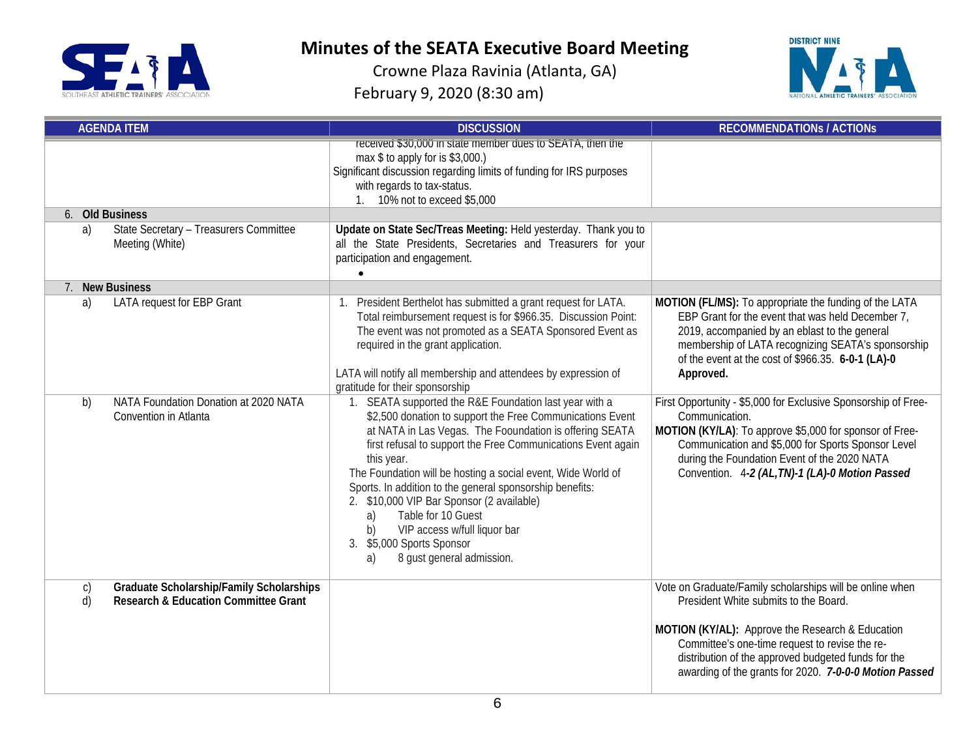



| <b>AGENDA ITEM</b>                                                                                                       | <b>DISCUSSION</b>                                                                                                                                                                                                                                                                                                                                                                                                                                                                                                                                                       | <b>RECOMMENDATIONS / ACTIONS</b>                                                                                                                                                                                                                                                                                         |
|--------------------------------------------------------------------------------------------------------------------------|-------------------------------------------------------------------------------------------------------------------------------------------------------------------------------------------------------------------------------------------------------------------------------------------------------------------------------------------------------------------------------------------------------------------------------------------------------------------------------------------------------------------------------------------------------------------------|--------------------------------------------------------------------------------------------------------------------------------------------------------------------------------------------------------------------------------------------------------------------------------------------------------------------------|
|                                                                                                                          | received \$30,000 in state member dues to SEATA, then the<br>max \$ to apply for is \$3,000.)<br>Significant discussion regarding limits of funding for IRS purposes<br>with regards to tax-status.<br>1. 10% not to exceed \$5,000                                                                                                                                                                                                                                                                                                                                     |                                                                                                                                                                                                                                                                                                                          |
| 6. Old Business<br>State Secretary - Treasurers Committee<br>a)                                                          | Update on State Sec/Treas Meeting: Held yesterday. Thank you to                                                                                                                                                                                                                                                                                                                                                                                                                                                                                                         |                                                                                                                                                                                                                                                                                                                          |
| Meeting (White)                                                                                                          | all the State Presidents, Secretaries and Treasurers for your<br>participation and engagement.                                                                                                                                                                                                                                                                                                                                                                                                                                                                          |                                                                                                                                                                                                                                                                                                                          |
| 7. New Business                                                                                                          |                                                                                                                                                                                                                                                                                                                                                                                                                                                                                                                                                                         |                                                                                                                                                                                                                                                                                                                          |
| <b>LATA request for EBP Grant</b><br>a)                                                                                  | 1. President Berthelot has submitted a grant request for LATA.<br>Total reimbursement request is for \$966.35. Discussion Point:<br>The event was not promoted as a SEATA Sponsored Event as<br>required in the grant application.<br>LATA will notify all membership and attendees by expression of<br>gratitude for their sponsorship                                                                                                                                                                                                                                 | MOTION (FL/MS): To appropriate the funding of the LATA<br>EBP Grant for the event that was held December 7,<br>2019, accompanied by an eblast to the general<br>membership of LATA recognizing SEATA's sponsorship<br>of the event at the cost of \$966.35. 6-0-1 (LA)-0<br>Approved.                                    |
| NATA Foundation Donation at 2020 NATA<br>b)<br>Convention in Atlanta                                                     | 1. SEATA supported the R&E Foundation last year with a<br>\$2,500 donation to support the Free Communications Event<br>at NATA in Las Vegas. The Fooundation is offering SEATA<br>first refusal to support the Free Communications Event again<br>this year.<br>The Foundation will be hosting a social event, Wide World of<br>Sports. In addition to the general sponsorship benefits:<br>2. \$10,000 VIP Bar Sponsor (2 available)<br>Table for 10 Guest<br>a)<br>VIP access w/full liquor bar<br>b)<br>3. \$5,000 Sports Sponsor<br>8 gust general admission.<br>a) | First Opportunity - \$5,000 for Exclusive Sponsorship of Free-<br>Communication.<br>MOTION (KY/LA): To approve \$5,000 for sponsor of Free-<br>Communication and \$5,000 for Sports Sponsor Level<br>during the Foundation Event of the 2020 NATA<br>Convention. 4-2 (AL, TN)-1 (LA)-0 Motion Passed                     |
| <b>Graduate Scholarship/Family Scholarships</b><br>$\mathsf{C}$<br>d)<br><b>Research &amp; Education Committee Grant</b> |                                                                                                                                                                                                                                                                                                                                                                                                                                                                                                                                                                         | Vote on Graduate/Family scholarships will be online when<br>President White submits to the Board.<br>MOTION (KY/AL): Approve the Research & Education<br>Committee's one-time request to revise the re-<br>distribution of the approved budgeted funds for the<br>awarding of the grants for 2020. 7-0-0-0 Motion Passed |